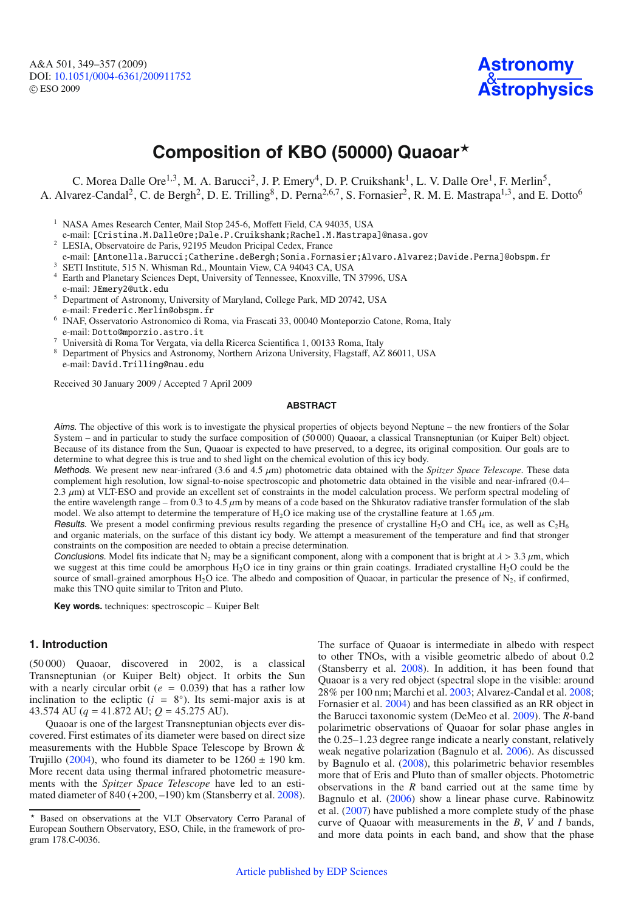A&A 501, 349–357 (2009) DOI: 10.1051/0004-6361/[200911752](http://dx.doi.org/10.1051/0004-6361/200911752) © ESO 2009



# **Composition of KBO (50000) Quaoar**-

C. Morea Dalle Ore<sup>1,3</sup>, M. A. Barucci<sup>2</sup>, J. P. Emery<sup>4</sup>, D. P. Cruikshank<sup>1</sup>, L. V. Dalle Ore<sup>1</sup>, F. Merlin<sup>5</sup>, A. Alvarez-Candal<sup>2</sup>, C. de Bergh<sup>2</sup>, D. E. Trilling<sup>8</sup>, D. Perna<sup>2,6,7</sup>, S. Fornasier<sup>2</sup>, R. M. E. Mastrapa<sup>1,3</sup>, and E. Dotto<sup>6</sup>

<sup>1</sup> NASA Ames Research Center, Mail Stop 245-6, Moffett Field, CA 94035, USA

e-mail: [Cristina.M.DalleOre;Dale.P.Cruikshank;Rachel.M.Mastrapa]@nasa.gov

<sup>2</sup> LESIA, Observatoire de Paris, 92195 Meudon Pricipal Cedex, France

- e-mail: [Antonella.Barucci;Catherine.deBergh;Sonia.Fornasier;Alvaro.Alvarez;Davide.Perna]@obspm.fr <sup>3</sup> SETI Institute, 515 N. Whisman Rd., Mountain View, CA 94043 CA, USA
- <sup>4</sup> Earth and Planetary Sciences Dept, University of Tennessee, Knoxville, TN 37996, USA e-mail: JEmery2@utk.edu
- <sup>5</sup> Department of Astronomy, University of Maryland, College Park, MD 20742, USA e-mail: Frederic.Merlin@obspm.fr
- <sup>6</sup> INAF, Osservatorio Astronomico di Roma, via Frascati 33, 00040 Monteporzio Catone, Roma, Italy e-mail: Dotto@mporzio.astro.it
- <sup>7</sup> Università di Roma Tor Vergata, via della Ricerca Scientifica 1, 00133 Roma, Italy
- <sup>8</sup> Department of Physics and Astronomy, Northern Arizona University, Flagstaff, AZ 86011, USA e-mail: David.Trilling@nau.edu

Received 30 January 2009 / Accepted 7 April 2009

## **ABSTRACT**

Aims. The objective of this work is to investigate the physical properties of objects beyond Neptune – the new frontiers of the Solar System – and in particular to study the surface composition of (50 000) Quaoar, a classical Transneptunian (or Kuiper Belt) object. Because of its distance from the Sun, Quaoar is expected to have preserved, to a degree, its original composition. Our goals are to determine to what degree this is true and to shed light on the chemical evolution of this icy body.

Methods. We present new near-infrared (3.6 and 4.5 μm) photometric data obtained with the *Spitzer Space Telescope*. These data complement high resolution, low signal-to-noise spectroscopic and photometric data obtained in the visible and near-infrared (0.4– 2.3  $\mu$ m) at VLT-ESO and provide an excellent set of constraints in the model calculation process. We perform spectral modeling of the entire wavelength range – from 0.3 to 4.5  $\mu$ m by means of a code based on the Shkuratov radiative transfer formulation of the slab model. We also attempt to determine the temperature of H<sub>2</sub>O ice making use of the crystalline feature at 1.65  $\mu$ m.

Results. We present a model confirming previous results regarding the presence of crystalline H<sub>2</sub>O and CH<sub>4</sub> ice, as well as  $C_2H_6$ and organic materials, on the surface of this distant icy body. We attempt a measurement of the temperature and find that stronger constraints on the composition are needed to obtain a precise determination.

Conclusions. Model fits indicate that N<sub>2</sub> may be a significant component, along with a component that is bright at  $\lambda > 3.3$  um, which we suggest at this time could be amorphous  $H_2O$  ice in tiny grains or thin grain coatings. Irradiated crystalline  $H_2O$  could be the source of small-grained amorphous  $H_2O$  ice. The albedo and composition of Quaoar, in particular the presence of  $N_2$ , if confirmed, make this TNO quite similar to Triton and Pluto.

**Key words.** techniques: spectroscopic – Kuiper Belt

## **1. Introduction**

(50 000) Quaoar, discovered in 2002, is a classical Transneptunian (or Kuiper Belt) object. It orbits the Sun with a nearly circular orbit ( $e = 0.039$ ) that has a rather low inclination to the ecliptic  $(i = 8<sup>°</sup>)$ . Its semi-major axis is at 43.574 AU (*q* = 41.872 AU; *Q* = 45.275 AU).

Quaoar is one of the largest Transneptunian objects ever discovered. First estimates of its diameter were based on direct size measurements with the Hubble Space Telescope by Brown & Trujillo [\(2004\)](#page-8-0), who found its diameter to be  $1260 \pm 190$  km. More recent data using thermal infrared photometric measurements with the *Spitzer Space Telescope* have led to an estimated diameter of  $840 (+200, -190)$  km (Stansberry et al. [2008\)](#page-8-1). The surface of Quaoar is intermediate in albedo with respect to other TNOs, with a visible geometric albedo of about 0.2 (Stansberry et al. [2008\)](#page-8-1). In addition, it has been found that Quaoar is a very red object (spectral slope in the visible: around 28% per 100 nm; Marchi et al. [2003;](#page-8-2) Alvarez-Candal et al. [2008;](#page-8-3) Fornasier et al. [2004\)](#page-8-4) and has been classified as an RR object in the Barucci taxonomic system (DeMeo et al. [2009\)](#page-8-5). The *R*-band polarimetric observations of Quaoar for solar phase angles in the 0.25–1.23 degree range indicate a nearly constant, relatively weak negative polarization (Bagnulo et al. [2006\)](#page-8-6). As discussed by Bagnulo et al. [\(2008\)](#page-8-7), this polarimetric behavior resembles more that of Eris and Pluto than of smaller objects. Photometric observations in the *R* band carried out at the same time by Bagnulo et al. [\(2006\)](#page-8-6) show a linear phase curve. Rabinowitz et al. [\(2007\)](#page-8-8) have published a more complete study of the phase curve of Quaoar with measurements in the *B*, *V* and *I* bands, and more data points in each band, and show that the phase

Based on observations at the VLT Observatory Cerro Paranal of European Southern Observatory, ESO, Chile, in the framework of program 178.C-0036.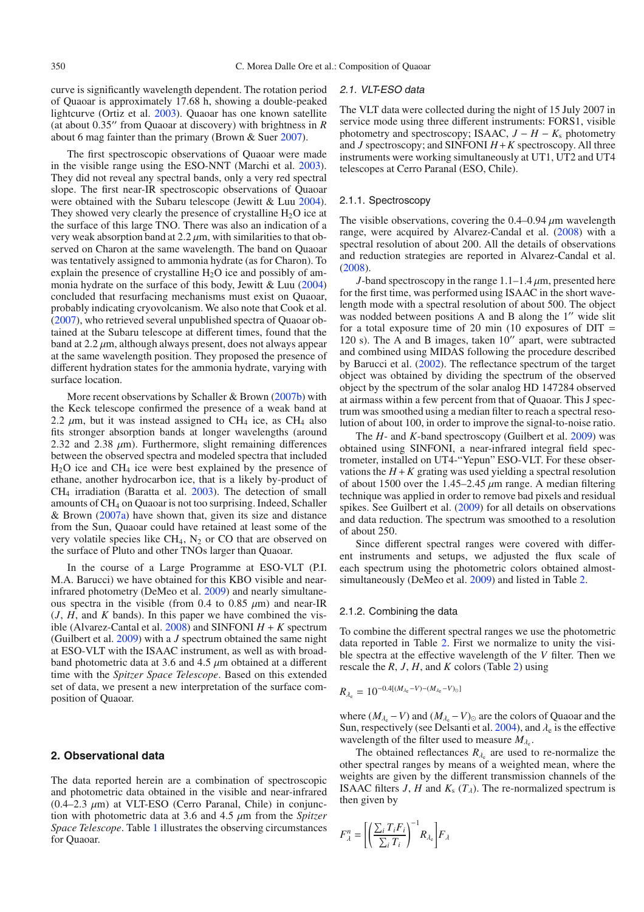curve is significantly wavelength dependent. The rotation period of Quaoar is approximately 17.68 h, showing a double-peaked lightcurve (Ortiz et al. [2003\)](#page-8-9). Quaoar has one known satellite (at about 0.35" from Quaoar at discovery) with brightness in *R* about 6 mag fainter than the primary (Brown & Suer [2007\)](#page-8-10).

The first spectroscopic observations of Quaoar were made in the visible range using the ESO-NNT (Marchi et al. [2003\)](#page-8-2). They did not reveal any spectral bands, only a very red spectral slope. The first near-IR spectroscopic observations of Quaoar were obtained with the Subaru telescope (Jewitt & Luu [2004\)](#page-8-11). They showed very clearly the presence of crystalline  $H_2O$  ice at the surface of this large TNO. There was also an indication of a very weak absorption band at  $2.2 \mu m$ , with similarities to that observed on Charon at the same wavelength. The band on Quaoar was tentatively assigned to ammonia hydrate (as for Charon). To explain the presence of crystalline  $H_2O$  ice and possibly of ammonia hydrate on the surface of this body, Jewitt & Luu [\(2004\)](#page-8-11) concluded that resurfacing mechanisms must exist on Quaoar, probably indicating cryovolcanism. We also note that Cook et al. [\(2007\)](#page-8-12), who retrieved several unpublished spectra of Quaoar obtained at the Subaru telescope at different times, found that the band at  $2.2 \mu m$ , although always present, does not always appear at the same wavelength position. They proposed the presence of different hydration states for the ammonia hydrate, varying with surface location.

More recent observations by Schaller & Brown [\(2007b\)](#page-8-13) with the Keck telescope confirmed the presence of a weak band at 2.2  $\mu$ m, but it was instead assigned to CH<sub>4</sub> ice, as CH<sub>4</sub> also fits stronger absorption bands at longer wavelengths (around 2.32 and 2.38  $\mu$ m). Furthermore, slight remaining differences between the observed spectra and modeled spectra that included H2O ice and CH4 ice were best explained by the presence of ethane, another hydrocarbon ice, that is a likely by-product of CH4 irradiation (Baratta et al. [2003\)](#page-8-14). The detection of small amounts of CH4 on Quaoar is not too surprising. Indeed, Schaller & Brown  $(2007a)$  have shown that, given its size and distance from the Sun, Quaoar could have retained at least some of the very volatile species like  $CH_4$ ,  $N_2$  or CO that are observed on the surface of Pluto and other TNOs larger than Quaoar.

In the course of a Large Programme at ESO-VLT (P.I. M.A. Barucci) we have obtained for this KBO visible and nearinfrared photometry (DeMeo et al. [2009\)](#page-8-5) and nearly simultaneous spectra in the visible (from 0.4 to 0.85  $\mu$ m) and near-IR (*J*, *H*, and *K* bands). In this paper we have combined the visible (Alvarez-Cantal et al.  $2008$ ) and SINFONI  $H + K$  spectrum (Guilbert et al. [2009\)](#page-8-16) with a *J* spectrum obtained the same night at ESO-VLT with the ISAAC instrument, as well as with broadband photometric data at 3.6 and 4.5  $\mu$ m obtained at a different time with the *Spitzer Space Telescope*. Based on this extended set of data, we present a new interpretation of the surface composition of Quaoar.

#### **2. Observational data**

The data reported herein are a combination of spectroscopic and photometric data obtained in the visible and near-infrared  $(0.4-2.3 \mu m)$  at VLT-ESO (Cerro Paranal, Chile) in conjunction with photometric data at 3.6 and 4.5 μm from the *Spitzer Space Telescope*. Table [1](#page-2-0) illustrates the observing circumstances for Quaoar.

#### 2.1. VLT-ESO data

The VLT data were collected during the night of 15 July 2007 in service mode using three different instruments: FORS1, visible photometry and spectroscopy; ISAAC,  $J - H - K_s$  photometry and *J* spectroscopy; and SINFONI *H*+*K* spectroscopy. All three instruments were working simultaneously at UT1, UT2 and UT4 telescopes at Cerro Paranal (ESO, Chile).

## 2.1.1. Spectroscopy

The visible observations, covering the  $0.4-0.94 \mu m$  wavelength range, were acquired by Alvarez-Candal et al. [\(2008\)](#page-8-3) with a spectral resolution of about 200. All the details of observations and reduction strategies are reported in Alvarez-Candal et al. [\(2008\)](#page-8-3).

*J*-band spectroscopy in the range  $1.1-1.4 \mu m$ , presented here for the first time, was performed using ISAAC in the short wavelength mode with a spectral resolution of about 500. The object was nodded between positions A and B along the 1" wide slit for a total exposure time of 20 min  $(10 \text{ exposures of DIT} =$ 120 s). The A and B images, taken  $10''$  apart, were subtracted and combined using MIDAS following the procedure described by Barucci et al. [\(2002\)](#page-8-17). The reflectance spectrum of the target object was obtained by dividing the spectrum of the observed object by the spectrum of the solar analog HD 147284 observed at airmass within a few percent from that of Quaoar. This J spectrum was smoothed using a median filter to reach a spectral resolution of about 100, in order to improve the signal-to-noise ratio.

The *H*- and *K*-band spectroscopy (Guilbert et al. [2009\)](#page-8-16) was obtained using SINFONI, a near-infrared integral field spectrometer, installed on UT4-"Yepun" ESO-VLT. For these observations the  $H + K$  grating was used yielding a spectral resolution of about 1500 over the 1.45–2.45  $\mu$ m range. A median filtering technique was applied in order to remove bad pixels and residual spikes. See Guilbert et al. [\(2009\)](#page-8-16) for all details on observations and data reduction. The spectrum was smoothed to a resolution of about 250.

Since different spectral ranges were covered with different instruments and setups, we adjusted the flux scale of each spectrum using the photometric colors obtained almostsimultaneously (DeMeo et al. [2009\)](#page-8-5) and listed in Table [2.](#page-2-1)

## 2.1.2. Combining the data

To combine the different spectral ranges we use the photometric data reported in Table [2.](#page-2-1) First we normalize to unity the visible spectra at the effective wavelength of the *V* filter. Then we rescale the *R*, *J*, *H*, and *K* colors (Table [2\)](#page-2-1) using

$$
R_{\lambda_{\rm e}} = 10^{-0.4[(M_{\lambda_{\rm e}}-V)-(M_{\lambda_{\rm e}}-V)_{\odot}]}
$$

where  $(M_{\lambda_e} - V)$  and  $(M_{\lambda_e} - V)_{\odot}$  are the colors of Quaoar and the Sun, respectively (see Delsanti et al. [2004\)](#page-8-18), and  $\lambda_e$  is the effective wavelength of the filter used to measure  $M_{\lambda_e}$ .

The obtained reflectances  $R_{\lambda}$  are used to re-normalize the other spectral ranges by means of a weighted mean, where the weights are given by the different transmission channels of the ISAAC filters *J*, *H* and  $K_s$  ( $T_{\lambda}$ ). The re-normalized spectrum is then given by

$$
F_{\lambda}^{n} = \left[ \left( \frac{\sum_{i} T_{i} F_{i}}{\sum_{i} T_{i}} \right)^{-1} R_{\lambda_{e}} \right] F_{\lambda}
$$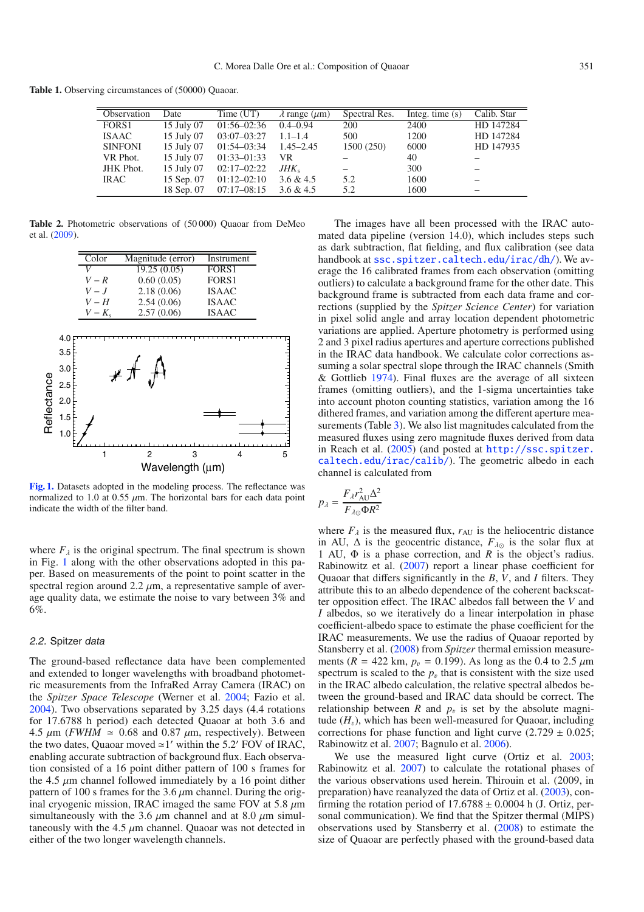<span id="page-2-1"></span><span id="page-2-0"></span>**Table 1.** Observing circumstances of (50000) Quaoar.

Ė

| Observation      | Date       | Time (UT)       | $\lambda$ range ( $\mu$ m) | Spectral Res. | Integ. time $(s)$ | Calib. Star |
|------------------|------------|-----------------|----------------------------|---------------|-------------------|-------------|
| FORS1            | 15 July 07 | $01:56-02:36$   | $0.4 - 0.94$               | 200           | 2400              | HD 147284   |
| <b>ISAAC</b>     | 15 July 07 | $03:07 - 03:27$ | $1.1 - 1.4$                | 500           | 1200              | HD 147284   |
| <b>SINFONI</b>   | 15 July 07 | $01:54-03:34$   | $1.45 - 2.45$              | 1500 (250)    | 6000              | HD 147935   |
| VR Phot.         | 15 July 07 | $01:33 - 01:33$ | VR.                        |               | 40                |             |
| <b>JHK</b> Phot. | 15 July 07 | $02:17-02:22$   | $JHK_{s}$                  |               | 300               |             |
| <b>IRAC</b>      | 15 Sep. 07 | $01:12-02:10$   | 3.6 & 4.5                  | 5.2           | 1600              |             |
|                  | 18 Sep. 07 | $07:17-08:15$   | 3.6 & 4.5                  | 5.2           | 1600              |             |

**Table 2.** Photometric observations of (50 000) Quaoar from DeMeo et al. [\(2009\)](#page-8-5).

<span id="page-2-2"></span>

**[Fig. 1.](http://dexter.edpsciences.org/applet.php?DOI=10.1051/0004-6361/200911752&pdf_id=1)** Datasets adopted in the modeling process. The reflectance was normalized to 1.0 at 0.55  $\mu$ m. The horizontal bars for each data point indicate the width of the filter band.

where  $F_{\lambda}$  is the original spectrum. The final spectrum is shown in Fig. [1](#page-2-2) along with the other observations adopted in this paper. Based on measurements of the point to point scatter in the spectral region around  $2.2 \mu m$ , a representative sample of average quality data, we estimate the noise to vary between 3% and 6%.

## 2.2. Spitzer data

The ground-based reflectance data have been complemented and extended to longer wavelengths with broadband photometric measurements from the InfraRed Array Camera (IRAC) on the *Spitzer Space Telescope* (Werner et al. [2004;](#page-8-19) Fazio et al. [2004\)](#page-8-20). Two observations separated by 3.25 days (4.4 rotations for 17.6788 h period) each detected Quaoar at both 3.6 and 4.5  $\mu$ m (*FWHM*  $\approx$  0.68 and 0.87  $\mu$ m, respectively). Between the two dates, Quaoar moved  $\simeq$  1' within the 5.2' FOV of IRAC, enabling accurate subtraction of background flux. Each observation consisted of a 16 point dither pattern of 100 s frames for the 4.5  $\mu$ m channel followed immediately by a 16 point dither pattern of 100 s frames for the 3.6  $\mu$ m channel. During the original cryogenic mission, IRAC imaged the same FOV at 5.8  $\mu$ m simultaneously with the 3.6  $\mu$ m channel and at 8.0  $\mu$ m simultaneously with the  $4.5 \mu m$  channel. Quaoar was not detected in either of the two longer wavelength channels.

The images have all been processed with the IRAC automated data pipeline (version 14.0), which includes steps such as dark subtraction, flat fielding, and flux calibration (see data handbook at <ssc.spitzer.caltech.edu/irac/dh/>). We average the 16 calibrated frames from each observation (omitting outliers) to calculate a background frame for the other date. This background frame is subtracted from each data frame and corrections (supplied by the *Spitzer Science Center*) for variation in pixel solid angle and array location dependent photometric variations are applied. Aperture photometry is performed using 2 and 3 pixel radius apertures and aperture corrections published in the IRAC data handbook. We calculate color corrections assuming a solar spectral slope through the IRAC channels (Smith & Gottlieb [1974\)](#page-8-21). Final fluxes are the average of all sixteen frames (omitting outliers), and the 1-sigma uncertainties take into account photon counting statistics, variation among the 16 dithered frames, and variation among the different aperture mea-surements (Table [3\)](#page-3-0). We also list magnitudes calculated from the measured fluxes using zero magnitude fluxes derived from data in Reach et al. [\(2005\)](#page-8-22) (and posted at [http://ssc.spitzer.](http://ssc.spitzer.caltech.edu/irac/calib/) [caltech.edu/irac/calib/](http://ssc.spitzer.caltech.edu/irac/calib/)). The geometric albedo in each channel is calculated from

$$
p_{\lambda} = \frac{F_{\lambda} r_{\text{AU}}^2 \Delta^2}{F_{\lambda \odot} \Phi R^2}
$$

where  $F_{\lambda}$  is the measured flux,  $r_{AU}$  is the heliocentric distance in AU,  $\Delta$  is the geocentric distance,  $F_{\lambda}$  is the solar flux at 1 AU, Φ is a phase correction, and *R* is the object's radius. Rabinowitz et al. [\(2007\)](#page-8-8) report a linear phase coefficient for Quaoar that differs significantly in the *B*, *V*, and *I* filters. They attribute this to an albedo dependence of the coherent backscatter opposition effect. The IRAC albedos fall between the *V* and *I* albedos, so we iteratively do a linear interpolation in phase coefficient-albedo space to estimate the phase coefficient for the IRAC measurements. We use the radius of Quaoar reported by Stansberry et al. [\(2008\)](#page-8-1) from *Spitzer* thermal emission measurements ( $R = 422$  km,  $p_v = 0.199$ ). As long as the 0.4 to 2.5  $\mu$ m spectrum is scaled to the  $p<sub>v</sub>$  that is consistent with the size used in the IRAC albedo calculation, the relative spectral albedos between the ground-based and IRAC data should be correct. The relationship between *R* and  $p_v$  is set by the absolute magnitude  $(H<sub>v</sub>)$ , which has been well-measured for Ouaoar, including corrections for phase function and light curve  $(2.729 \pm 0.025)$ ; Rabinowitz et al. [2007;](#page-8-8) Bagnulo et al. [2006\)](#page-8-6).

We use the measured light curve (Ortiz et al. [2003;](#page-8-9) Rabinowitz et al. [2007\)](#page-8-8) to calculate the rotational phases of the various observations used herein. Thirouin et al. (2009, in preparation) have reanalyzed the data of Ortiz et al. [\(2003\)](#page-8-9), confirming the rotation period of  $17.6788 \pm 0.0004$  h (J. Ortiz, personal communication). We find that the Spitzer thermal (MIPS) observations used by Stansberry et al. [\(2008\)](#page-8-1) to estimate the size of Quaoar are perfectly phased with the ground-based data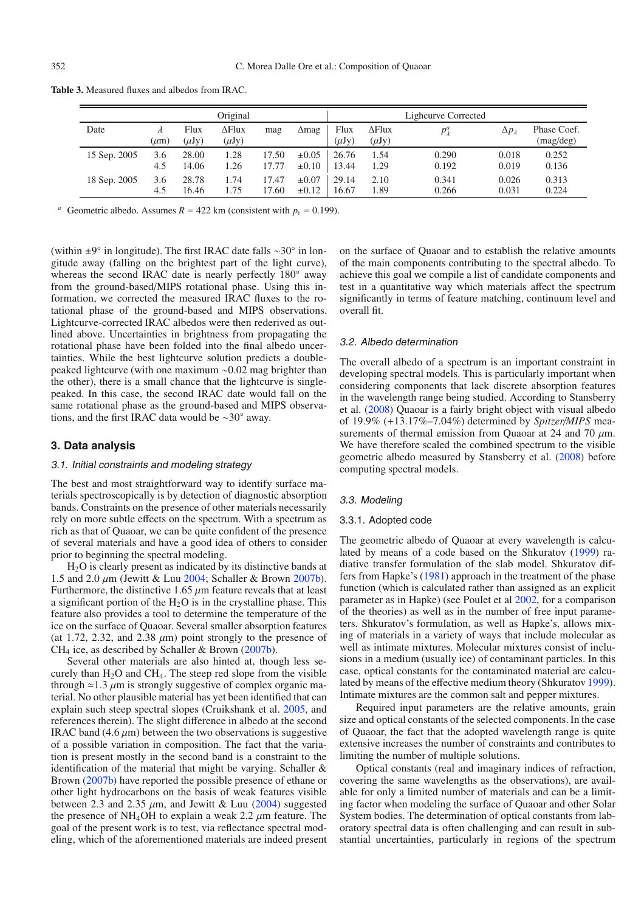<span id="page-3-0"></span>**Table 3.** Measured fluxes and albedos from IRAC.

|              |           |                    | Original                    |       |            |                    |                             | Lighcurve Corrected |                    |                          |
|--------------|-----------|--------------------|-----------------------------|-------|------------|--------------------|-----------------------------|---------------------|--------------------|--------------------------|
| Date         | $(\mu m)$ | Flux<br>$(\mu Jy)$ | $\Delta$ Flux<br>$(\mu Jy)$ | mag   | ∆mag       | Flux<br>$(\mu Jy)$ | $\Delta$ Flux<br>$(\mu Jy)$ | $p^a_\lambda$       | $\Delta p_\lambda$ | Phase Coef.<br>(mag/deg) |
| 15 Sep. 2005 | 3.6       | 28.00              | 1.28                        | 17.50 | $\pm 0.05$ | 26.76              | 1.54                        | 0.290               | 0.018              | 0.252                    |
|              | 4.5       | 14.06              | 1.26                        | 17.77 | $\pm 0.10$ | 13.44              | 1.29                        | 0.192               | 0.019              | 0.136                    |
| 18 Sep. 2005 | 3.6       | 28.78              | 1.74                        | 17.47 | $\pm 0.07$ | 29.14              | 2.10                        | 0.341               | 0.026              | 0.313                    |
|              | 4.5       | 16.46              | l.75                        | 7.60  | $\pm 0.12$ | 16.67              | 1.89                        | 0.266               | 0.031              | 0.224                    |

<sup>*a*</sup> Geometric albedo. Assumes  $R = 422$  km (consistent with  $p_v = 0.199$ ).

(within ±9◦ in longitude). The first IRAC date falls ∼30◦ in longitude away (falling on the brightest part of the light curve), whereas the second IRAC date is nearly perfectly 180° away from the ground-based/MIPS rotational phase. Using this information, we corrected the measured IRAC fluxes to the rotational phase of the ground-based and MIPS observations. Lightcurve-corrected IRAC albedos were then rederived as outlined above. Uncertainties in brightness from propagating the rotational phase have been folded into the final albedo uncertainties. While the best lightcurve solution predicts a doublepeaked lightcurve (with one maximum ∼0.02 mag brighter than the other), there is a small chance that the lightcurve is singlepeaked. In this case, the second IRAC date would fall on the same rotational phase as the ground-based and MIPS observations, and the first IRAC data would be ∼30◦ away.

## **3. Data analysis**

#### 3.1. Initial constraints and modeling strategy

The best and most straightforward way to identify surface materials spectroscopically is by detection of diagnostic absorption bands. Constraints on the presence of other materials necessarily rely on more subtle effects on the spectrum. With a spectrum as rich as that of Quaoar, we can be quite confident of the presence of several materials and have a good idea of others to consider prior to beginning the spectral modeling.

H2O is clearly present as indicated by its distinctive bands at 1.5 and 2.0  $\mu$ m (Jewitt & Luu [2004;](#page-8-11) Schaller & Brown [2007b\)](#page-8-13). Furthermore, the distinctive 1.65  $\mu$ m feature reveals that at least a significant portion of the  $H_2O$  is in the crystalline phase. This feature also provides a tool to determine the temperature of the ice on the surface of Quaoar. Several smaller absorption features (at 1.72, 2.32, and 2.38  $\mu$ m) point strongly to the presence of  $CH<sub>4</sub>$  ice, as described by Schaller & Brown [\(2007b\)](#page-8-13).

Several other materials are also hinted at, though less securely than  $H_2O$  and CH<sub>4</sub>. The steep red slope from the visible through  $\approx$  1.3  $\mu$ m is strongly suggestive of complex organic material. No other plausible material has yet been identified that can explain such steep spectral slopes (Cruikshank et al. [2005,](#page-8-23) and references therein). The slight difference in albedo at the second IRAC band  $(4.6 \mu m)$  between the two observations is suggestive of a possible variation in composition. The fact that the variation is present mostly in the second band is a constraint to the identification of the material that might be varying. Schaller & Brown [\(2007b\)](#page-8-13) have reported the possible presence of ethane or other light hydrocarbons on the basis of weak features visible between 2.3 and 2.35  $\mu$ m, and Jewitt & Luu [\(2004\)](#page-8-11) suggested the presence of NH<sub>4</sub>OH to explain a weak 2.2  $\mu$ m feature. The goal of the present work is to test, via reflectance spectral modeling, which of the aforementioned materials are indeed present on the surface of Quaoar and to establish the relative amounts of the main components contributing to the spectral albedo. To achieve this goal we compile a list of candidate components and test in a quantitative way which materials affect the spectrum significantly in terms of feature matching, continuum level and overall fit.

#### 3.2. Albedo determination

The overall albedo of a spectrum is an important constraint in developing spectral models. This is particularly important when considering components that lack discrete absorption features in the wavelength range being studied. According to Stansberry et al. [\(2008\)](#page-8-1) Quaoar is a fairly bright object with visual albedo of 19.9% (+13.17%–7.04%) determined by *Spitzer*/*MIPS* measurements of thermal emission from Quaoar at 24 and 70  $\mu$ m. We have therefore scaled the combined spectrum to the visible geometric albedo measured by Stansberry et al. [\(2008\)](#page-8-1) before computing spectral models.

#### 3.3. Modeling

## 3.3.1. Adopted code

The geometric albedo of Quaoar at every wavelength is calculated by means of a code based on the Shkuratov [\(1999\)](#page-8-24) radiative transfer formulation of the slab model. Shkuratov differs from Hapke's [\(1981\)](#page-8-25) approach in the treatment of the phase function (which is calculated rather than assigned as an explicit parameter as in Hapke) (see Poulet et al [2002,](#page-8-26) for a comparison of the theories) as well as in the number of free input parameters. Shkuratov's formulation, as well as Hapke's, allows mixing of materials in a variety of ways that include molecular as well as intimate mixtures. Molecular mixtures consist of inclusions in a medium (usually ice) of contaminant particles. In this case, optical constants for the contaminated material are calculated by means of the effective medium theory (Shkuratov [1999\)](#page-8-24). Intimate mixtures are the common salt and pepper mixtures.

Required input parameters are the relative amounts, grain size and optical constants of the selected components. In the case of Quaoar, the fact that the adopted wavelength range is quite extensive increases the number of constraints and contributes to limiting the number of multiple solutions.

Optical constants (real and imaginary indices of refraction, covering the same wavelengths as the observations), are available for only a limited number of materials and can be a limiting factor when modeling the surface of Quaoar and other Solar System bodies. The determination of optical constants from laboratory spectral data is often challenging and can result in substantial uncertainties, particularly in regions of the spectrum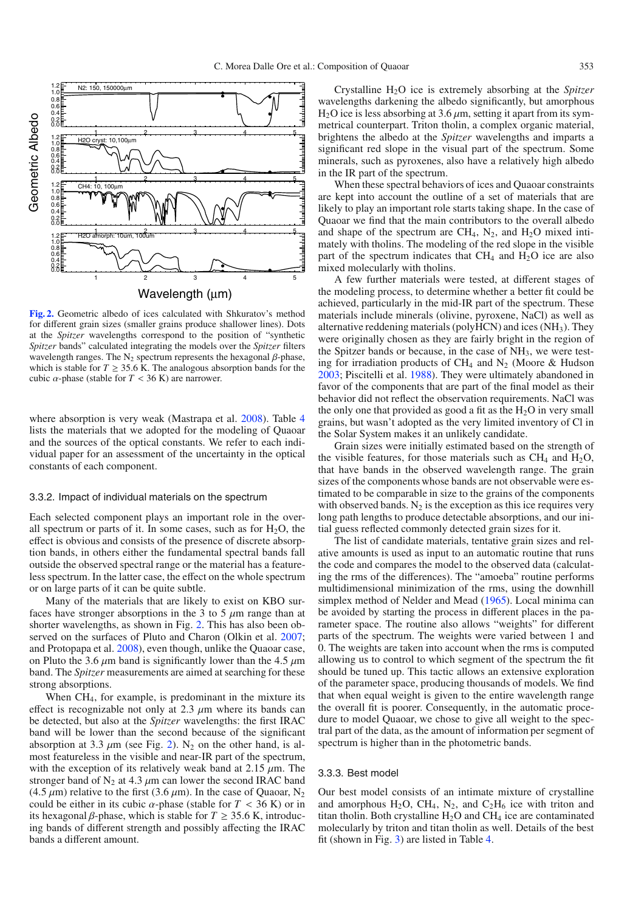<span id="page-4-0"></span>

**[Fig. 2.](http://dexter.edpsciences.org/applet.php?DOI=10.1051/0004-6361/200911752&pdf_id=2)** Geometric albedo of ices calculated with Shkuratov's method for different grain sizes (smaller grains produce shallower lines). Dots at the *Spitzer* wavelengths correspond to the position of "synthetic *Spitzer* bands" calculated integrating the models over the *Spitzer* filters wavelength ranges. The  $N_2$  spectrum represents the hexagonal  $\beta$ -phase, which is stable for  $T \geq 35.6$  K. The analogous absorption bands for the cubic  $\alpha$ -phase (stable for  $T < 36$  K) are narrower.

where absorption is very weak (Mastrapa et al. [2008\)](#page-8-27). Table [4](#page-5-0) lists the materials that we adopted for the modeling of Quaoar and the sources of the optical constants. We refer to each individual paper for an assessment of the uncertainty in the optical constants of each component.

#### 3.3.2. Impact of individual materials on the spectrum

Each selected component plays an important role in the overall spectrum or parts of it. In some cases, such as for  $H_2O$ , the effect is obvious and consists of the presence of discrete absorption bands, in others either the fundamental spectral bands fall outside the observed spectral range or the material has a featureless spectrum. In the latter case, the effect on the whole spectrum or on large parts of it can be quite subtle.

Many of the materials that are likely to exist on KBO surfaces have stronger absorptions in the 3 to 5  $\mu$ m range than at shorter wavelengths, as shown in Fig. [2.](#page-4-0) This has also been ob-served on the surfaces of Pluto and Charon (Olkin et al. [2007;](#page-8-28) and Protopapa et al. [2008\)](#page-8-29), even though, unlike the Quaoar case, on Pluto the 3.6  $\mu$ m band is significantly lower than the 4.5  $\mu$ m band. The *Spitzer* measurements are aimed at searching for these strong absorptions.

When CH4, for example, is predominant in the mixture its effect is recognizable not only at 2.3  $\mu$ m where its bands can be detected, but also at the *Spitzer* wavelengths: the first IRAC band will be lower than the second because of the significant absorption at 3.3  $\mu$ m (see Fig. [2\)](#page-4-0). N<sub>2</sub> on the other hand, is almost featureless in the visible and near-IR part of the spectrum, with the exception of its relatively weak band at  $2.15 \mu m$ . The stronger band of  $N_2$  at 4.3  $\mu$ m can lower the second IRAC band (4.5  $\mu$ m) relative to the first (3.6  $\mu$ m). In the case of Quaoar, N<sub>2</sub> could be either in its cubic  $\alpha$ -phase (stable for  $T < 36$  K) or in its hexagonal  $\beta$ -phase, which is stable for  $T \geq 35.6$  K, introducing bands of different strength and possibly affecting the IRAC bands a different amount.

Crystalline H2O ice is extremely absorbing at the *Spitzer* wavelengths darkening the albedo significantly, but amorphous  $H<sub>2</sub>O$  ice is less absorbing at 3.6  $\mu$ m, setting it apart from its symmetrical counterpart. Triton tholin, a complex organic material, brightens the albedo at the *Spitzer* wavelengths and imparts a significant red slope in the visual part of the spectrum. Some minerals, such as pyroxenes, also have a relatively high albedo in the IR part of the spectrum.

When these spectral behaviors of ices and Quaoar constraints are kept into account the outline of a set of materials that are likely to play an important role starts taking shape. In the case of Quaoar we find that the main contributors to the overall albedo and shape of the spectrum are  $CH_4$ ,  $N_2$ , and  $H_2O$  mixed intimately with tholins. The modeling of the red slope in the visible part of the spectrum indicates that  $CH_4$  and  $H_2O$  ice are also mixed molecularly with tholins.

A few further materials were tested, at different stages of the modeling process, to determine whether a better fit could be achieved, particularly in the mid-IR part of the spectrum. These materials include minerals (olivine, pyroxene, NaCl) as well as alternative reddening materials (polyHCN) and ices (NH3). They were originally chosen as they are fairly bright in the region of the Spitzer bands or because, in the case of  $NH<sub>3</sub>$ , we were testing for irradiation products of CH<sub>4</sub> and N<sub>2</sub> (Moore & Hudson [2003;](#page-8-30) Piscitelli et al. [1988\)](#page-8-31). They were ultimately abandoned in favor of the components that are part of the final model as their behavior did not reflect the observation requirements. NaCl was the only one that provided as good a fit as the  $H_2O$  in very small grains, but wasn't adopted as the very limited inventory of Cl in the Solar System makes it an unlikely candidate.

Grain sizes were initially estimated based on the strength of the visible features, for those materials such as  $CH_4$  and  $H_2O$ , that have bands in the observed wavelength range. The grain sizes of the components whose bands are not observable were estimated to be comparable in size to the grains of the components with observed bands.  $N_2$  is the exception as this ice requires very long path lengths to produce detectable absorptions, and our initial guess reflected commonly detected grain sizes for it.

The list of candidate materials, tentative grain sizes and relative amounts is used as input to an automatic routine that runs the code and compares the model to the observed data (calculating the rms of the differences). The "amoeba" routine performs multidimensional minimization of the rms, using the downhill simplex method of Nelder and Mead [\(1965\)](#page-8-32). Local minima can be avoided by starting the process in different places in the parameter space. The routine also allows "weights" for different parts of the spectrum. The weights were varied between 1 and 0. The weights are taken into account when the rms is computed allowing us to control to which segment of the spectrum the fit should be tuned up. This tactic allows an extensive exploration of the parameter space, producing thousands of models. We find that when equal weight is given to the entire wavelength range the overall fit is poorer. Consequently, in the automatic procedure to model Quaoar, we chose to give all weight to the spectral part of the data, as the amount of information per segment of spectrum is higher than in the photometric bands.

## 3.3.3. Best model

Our best model consists of an intimate mixture of crystalline and amorphous H<sub>2</sub>O, CH<sub>4</sub>, N<sub>2</sub>, and C<sub>2</sub>H<sub>6</sub> ice with triton and titan tholin. Both crystalline  $H_2O$  and  $CH_4$  ice are contaminated molecularly by triton and titan tholin as well. Details of the best fit (shown in Fig. [3\)](#page-5-1) are listed in Table [4.](#page-5-0)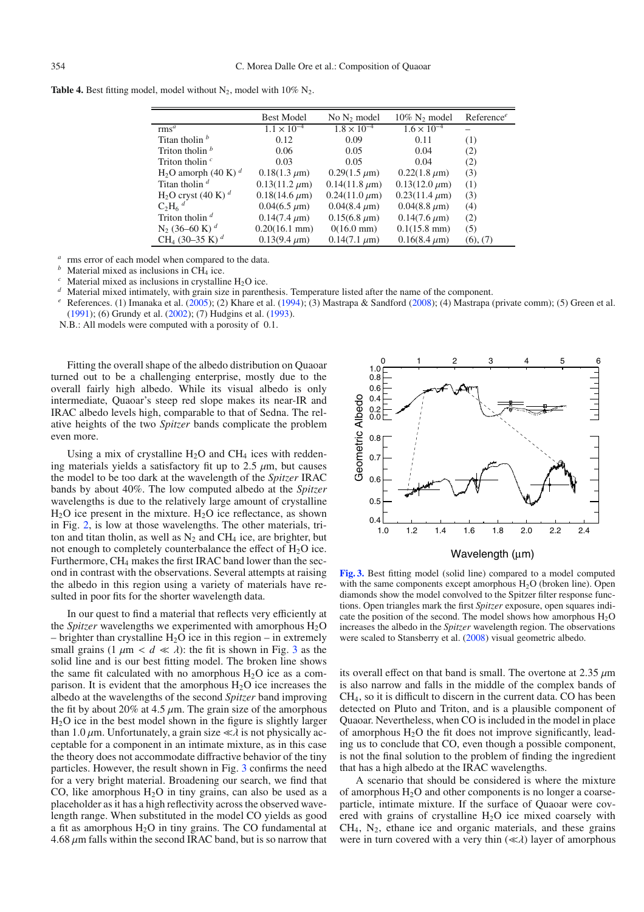<span id="page-5-0"></span>**Table 4.** Best fitting model, model without  $N_2$ , model with 10%  $N_2$ .

|                                        | <b>Best Model</b>       | No $N_2$ model       | $10\%$ N <sub>2</sub> model | Reference <sup>e</sup> |
|----------------------------------------|-------------------------|----------------------|-----------------------------|------------------------|
| rms <sup>a</sup>                       | $1.1 \times 10^{-4}$    | $1.8 \times 10^{-4}$ | $1.6 \times 10^{-4}$        |                        |
| Titan tholin $\frac{b}{2}$             | 0.12                    | 0.09                 | 0.11                        | (1)                    |
| Triton tholin $b$                      | 0.06                    | 0.05                 | 0.04                        | (2)                    |
| Triton tholin $\epsilon$               | 0.03                    | 0.05                 | 0.04                        | (2)                    |
| $H_2O$ amorph (40 K) <sup>d</sup>      | $0.18(1.3 \mu m)$       | $0.29(1.5 \mu m)$    | $0.22(1.8 \mu m)$           | (3)                    |
| Titan tholin $d$                       | $0.13(11.2 \mu m)$      | $0.14(11.8 \mu m)$   | $0.13(12.0 \mu m)$          | (1)                    |
| $H_2O$ cryst (40 K) <sup>d</sup>       | $0.18(14.6 \,\mu m)$    | $0.24(11.0 \,\mu m)$ | $0.23(11.4 \mu m)$          | (3)                    |
| $C_2H_6$ <sup>d</sup>                  | $0.04(6.5 \mu m)$       | $0.04(8.4 \mu m)$    | $0.04(8.8 \mu m)$           | (4)                    |
| Triton tholin $d$                      | $0.14(7.4 \mu m)$       | $0.15(6.8 \mu m)$    | $0.14(7.6 \,\mu m)$         | (2)                    |
| $N_2$ (36–60 K) <sup>d</sup>           | $0.20(16.1 \text{ mm})$ | $0(16.0 \text{ mm})$ | $0.1(15.8 \text{ mm})$      | (5)                    |
| CH <sub>4</sub> (30–35 K) <sup>d</sup> | $0.13(9.4 \mu m)$       | $0.14(7.1 \mu m)$    | $0.16(8.4 \mu m)$           | (6), (7)               |

<sup>a</sup> rms error of each model when compared to the data.<br>
<sup>b</sup> Material mixed as inclusions in CH<sub>4</sub> ice.<br>
<sup>c</sup> Material mixed as inclusions in crystalline H<sub>2</sub>O ice.<br>
<sup>d</sup> Material mixed intimately, with grain size in parenth [\(1991\)](#page-8-36); (6) Grundy et al. [\(2002\)](#page-8-37); (7) Hudgins et al. [\(1993\)](#page-8-38).

N.B.: All models were computed with a porosity of 0.1.

Fitting the overall shape of the albedo distribution on Quaoar turned out to be a challenging enterprise, mostly due to the overall fairly high albedo. While its visual albedo is only intermediate, Quaoar's steep red slope makes its near-IR and IRAC albedo levels high, comparable to that of Sedna. The relative heights of the two *Spitzer* bands complicate the problem even more.

Using a mix of crystalline  $H_2O$  and CH<sub>4</sub> ices with reddening materials yields a satisfactory fit up to 2.5  $\mu$ m, but causes the model to be too dark at the wavelength of the *Spitzer* IRAC bands by about 40%. The low computed albedo at the *Spitzer* wavelengths is due to the relatively large amount of crystalline  $H<sub>2</sub>O$  ice present in the mixture.  $H<sub>2</sub>O$  ice reflectance, as shown in Fig. [2,](#page-4-0) is low at those wavelengths. The other materials, triton and titan tholin, as well as  $N_2$  and CH<sub>4</sub> ice, are brighter, but not enough to completely counterbalance the effect of  $H_2O$  ice. Furthermore, CH4 makes the first IRAC band lower than the second in contrast with the observations. Several attempts at raising the albedo in this region using a variety of materials have resulted in poor fits for the shorter wavelength data.

In our quest to find a material that reflects very efficiently at the *Spitzer* wavelengths we experimented with amorphous  $H_2O$ – brighter than crystalline  $H_2O$  ice in this region – in extremely small grains  $(1 \mu m < d \ll \lambda)$ : the fit is shown in Fig. [3](#page-5-1) as the solid line and is our best fitting model. The broken line shows the same fit calculated with no amorphous  $H_2O$  ice as a comparison. It is evident that the amorphous  $H_2O$  ice increases the albedo at the wavelengths of the second *Spitzer* band improving the fit by about 20% at 4.5  $\mu$ m. The grain size of the amorphous H2O ice in the best model shown in the figure is slightly larger than 1.0  $\mu$ m. Unfortunately, a grain size  $\ll \lambda$  is not physically acceptable for a component in an intimate mixture, as in this case the theory does not accommodate diffractive behavior of the tiny particles. However, the result shown in Fig. [3](#page-5-1) confirms the need for a very bright material. Broadening our search, we find that CO, like amorphous  $H_2O$  in tiny grains, can also be used as a placeholder as it has a high reflectivity across the observed wavelength range. When substituted in the model CO yields as good a fit as amorphous  $H_2O$  in tiny grains. The CO fundamental at  $4.68 \mu$ m falls within the second IRAC band, but is so narrow that

<span id="page-5-1"></span>

**[Fig. 3.](http://dexter.edpsciences.org/applet.php?DOI=10.1051/0004-6361/200911752&pdf_id=3)** Best fitting model (solid line) compared to a model computed with the same components except amorphous  $H_2O$  (broken line). Open diamonds show the model convolved to the Spitzer filter response functions. Open triangles mark the first *Spitzer* exposure, open squares indicate the position of the second. The model shows how amorphous  $H_2O$ increases the albedo in the *Spitzer* wavelength region. The observations were scaled to Stansberry et al. [\(2008\)](#page-8-1) visual geometric albedo.

its overall effect on that band is small. The overtone at  $2.35 \mu m$ is also narrow and falls in the middle of the complex bands of CH4, so it is difficult to discern in the current data. CO has been detected on Pluto and Triton, and is a plausible component of Quaoar. Nevertheless, when CO is included in the model in place of amorphous  $H_2O$  the fit does not improve significantly, leading us to conclude that CO, even though a possible component, is not the final solution to the problem of finding the ingredient that has a high albedo at the IRAC wavelengths.

A scenario that should be considered is where the mixture of amorphous  $H_2O$  and other components is no longer a coarseparticle, intimate mixture. If the surface of Quaoar were covered with grains of crystalline  $H_2O$  ice mixed coarsely with  $CH<sub>4</sub>$ ,  $N<sub>2</sub>$ , ethane ice and organic materials, and these grains were in turn covered with a very thin  $(\ll \lambda)$  layer of amorphous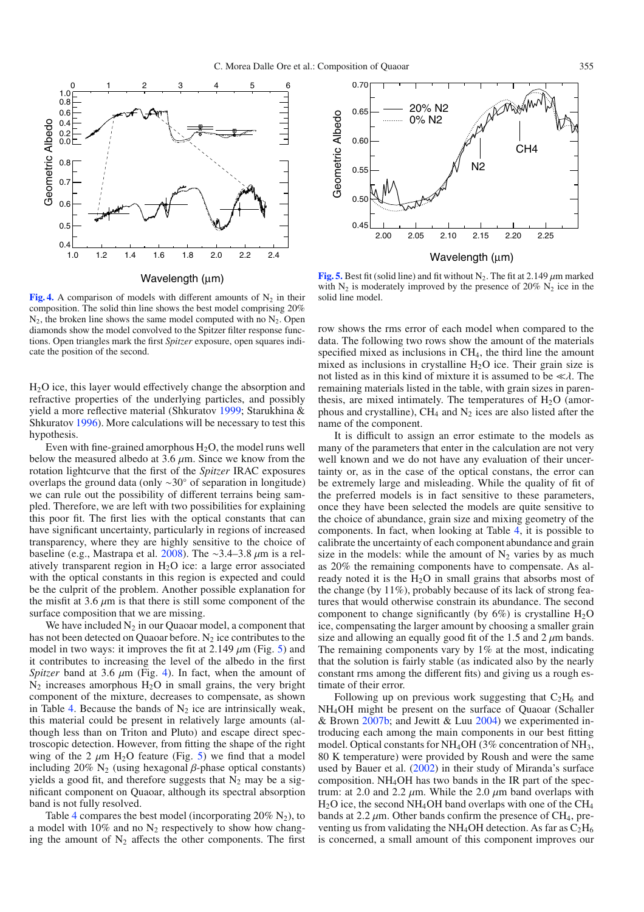<span id="page-6-1"></span>

**[Fig. 4.](http://dexter.edpsciences.org/applet.php?DOI=10.1051/0004-6361/200911752&pdf_id=4)** A comparison of models with different amounts of  $N_2$  in their composition. The solid thin line shows the best model comprising 20%  $N_2$ , the broken line shows the same model computed with no  $N_2$ . Open diamonds show the model convolved to the Spitzer filter response functions. Open triangles mark the first *Spitzer* exposure, open squares indicate the position of the second.

H2O ice, this layer would effectively change the absorption and refractive properties of the underlying particles, and possibly yield a more reflective material (Shkuratov [1999;](#page-8-24) Starukhina & Shkuratov [1996\)](#page-8-39). More calculations will be necessary to test this hypothesis.

Even with fine-grained amorphous  $H_2O$ , the model runs well below the measured albedo at  $3.6 \mu m$ . Since we know from the rotation lightcurve that the first of the *Spitzer* IRAC exposures overlaps the ground data (only ∼30◦ of separation in longitude) we can rule out the possibility of different terrains being sampled. Therefore, we are left with two possibilities for explaining this poor fit. The first lies with the optical constants that can have significant uncertainty, particularly in regions of increased transparency, where they are highly sensitive to the choice of baseline (e.g., Mastrapa et al. [2008\)](#page-8-27). The ~3.4–3.8  $\mu$ m is a relatively transparent region in  $H<sub>2</sub>O$  ice: a large error associated with the optical constants in this region is expected and could be the culprit of the problem. Another possible explanation for the misfit at 3.6  $\mu$ m is that there is still some component of the surface composition that we are missing.

We have included  $N_2$  in our Quaoar model, a component that has not been detected on Quaoar before.  $N_2$  ice contributes to the model in two ways: it improves the fit at 2.149  $\mu$ m (Fig. [5\)](#page-6-0) and it contributes to increasing the level of the albedo in the first *Spitzer* band at 3.6  $\mu$ m (Fig. [4\)](#page-6-1). In fact, when the amount of  $N_2$  increases amorphous  $H_2O$  in small grains, the very bright component of the mixture, decreases to compensate, as shown in Table [4.](#page-5-0) Because the bands of  $N_2$  ice are intrinsically weak, this material could be present in relatively large amounts (although less than on Triton and Pluto) and escape direct spectroscopic detection. However, from fitting the shape of the right wing of the 2  $\mu$ m H<sub>2</sub>O feature (Fig. [5\)](#page-6-0) we find that a model including 20%  $N_2$  (using hexagonal β-phase optical constants) yields a good fit, and therefore suggests that  $N_2$  may be a significant component on Quaoar, although its spectral absorption band is not fully resolved.

Table [4](#page-5-0) compares the best model (incorporating  $20\%$  N<sub>2</sub>), to a model with 10% and no  $N_2$  respectively to show how changing the amount of  $N_2$  affects the other components. The first

<span id="page-6-0"></span>

**[Fig. 5.](http://dexter.edpsciences.org/applet.php?DOI=10.1051/0004-6361/200911752&pdf_id=5)** Best fit (solid line) and fit without  $N_2$ . The fit at 2.149  $\mu$ m marked with  $N_2$  is moderately improved by the presence of 20%  $N_2$  ice in the solid line model.

row shows the rms error of each model when compared to the data. The following two rows show the amount of the materials specified mixed as inclusions in CH<sub>4</sub>, the third line the amount mixed as inclusions in crystalline  $H_2O$  ice. Their grain size is not listed as in this kind of mixture it is assumed to be  $\ll \lambda$ . The remaining materials listed in the table, with grain sizes in parenthesis, are mixed intimately. The temperatures of  $H_2O$  (amorphous and crystalline),  $CH_4$  and  $N_2$  ices are also listed after the name of the component.

It is difficult to assign an error estimate to the models as many of the parameters that enter in the calculation are not very well known and we do not have any evaluation of their uncertainty or, as in the case of the optical constans, the error can be extremely large and misleading. While the quality of fit of the preferred models is in fact sensitive to these parameters, once they have been selected the models are quite sensitive to the choice of abundance, grain size and mixing geometry of the components. In fact, when looking at Table [4,](#page-5-0) it is possible to calibrate the uncertainty of each component abundance and grain size in the models: while the amount of  $N_2$  varies by as much as 20% the remaining components have to compensate. As already noted it is the  $H_2O$  in small grains that absorbs most of the change (by 11%), probably because of its lack of strong features that would otherwise constrain its abundance. The second component to change significantly (by  $6\%$ ) is crystalline  $H_2O$ ice, compensating the larger amount by choosing a smaller grain size and allowing an equally good fit of the 1.5 and 2  $\mu$ m bands. The remaining components vary by  $1\%$  at the most, indicating that the solution is fairly stable (as indicated also by the nearly constant rms among the different fits) and giving us a rough estimate of their error.

Following up on previous work suggesting that  $C_2H_6$  and NH4OH might be present on the surface of Quaoar (Schaller & Brown [2007b;](#page-8-13) and Jewitt & Luu  $2004$ ) we experimented introducing each among the main components in our best fitting model. Optical constants for  $NH<sub>4</sub>OH$  (3% concentration of  $NH<sub>3</sub>$ , 80 K temperature) were provided by Roush and were the same used by Bauer et al. [\(2002\)](#page-8-40) in their study of Miranda's surface composition. NH4OH has two bands in the IR part of the spectrum: at 2.0 and 2.2  $\mu$ m. While the 2.0  $\mu$ m band overlaps with H2O ice, the second NH4OH band overlaps with one of the CH4 bands at 2.2  $\mu$ m. Other bands confirm the presence of CH<sub>4</sub>, preventing us from validating the NH<sub>4</sub>OH detection. As far as  $C_2H_6$ is concerned, a small amount of this component improves our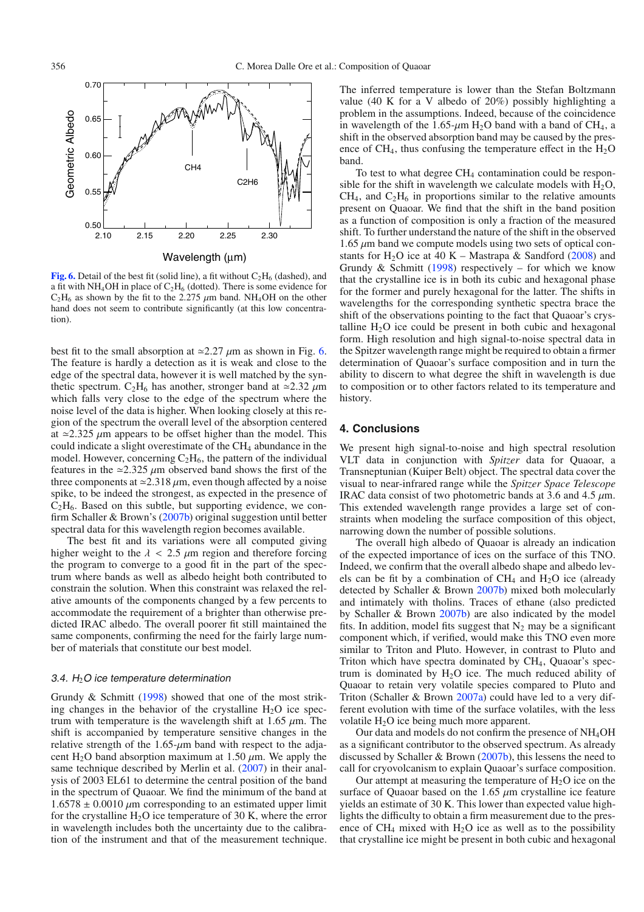<span id="page-7-0"></span>

**[Fig. 6.](http://dexter.edpsciences.org/applet.php?DOI=10.1051/0004-6361/200911752&pdf_id=6)** Detail of the best fit (solid line), a fit without  $C_2H_6$  (dashed), and a fit with NH<sub>4</sub>OH in place of  $C_2H_6$  (dotted). There is some evidence for  $C_2H_6$  as shown by the fit to the 2.275  $\mu$ m band. NH<sub>4</sub>OH on the other hand does not seem to contribute significantly (at this low concentration).

best fit to the small absorption at  $\approx 2.27 \mu$ m as shown in Fig. [6.](#page-7-0) The feature is hardly a detection as it is weak and close to the edge of the spectral data, however it is well matched by the synthetic spectrum.  $C_2H_6$  has another, stronger band at  $\approx 2.32 \mu m$ which falls very close to the edge of the spectrum where the noise level of the data is higher. When looking closely at this region of the spectrum the overall level of the absorption centered at  $\approx$ 2.325  $\mu$ m appears to be offset higher than the model. This could indicate a slight overestimate of the  $CH<sub>4</sub>$  abundance in the model. However, concerning  $C_2H_6$ , the pattern of the individual features in the  $\approx$ 2.325  $\mu$ m observed band shows the first of the three components at  $\approx$  2.318  $\mu$ m, even though affected by a noise spike, to be indeed the strongest, as expected in the presence of  $C_2H_6$ . Based on this subtle, but supporting evidence, we confirm Schaller & Brown's [\(2007b\)](#page-8-13) original suggestion until better spectral data for this wavelength region becomes available.

The best fit and its variations were all computed giving higher weight to the  $\lambda$  < 2.5  $\mu$ m region and therefore forcing the program to converge to a good fit in the part of the spectrum where bands as well as albedo height both contributed to constrain the solution. When this constraint was relaxed the relative amounts of the components changed by a few percents to accommodate the requirement of a brighter than otherwise predicted IRAC albedo. The overall poorer fit still maintained the same components, confirming the need for the fairly large number of materials that constitute our best model.

#### 3.4.  $H_2O$  ice temperature determination

Grundy & Schmitt [\(1998\)](#page-8-41) showed that one of the most striking changes in the behavior of the crystalline  $H_2O$  ice spectrum with temperature is the wavelength shift at 1.65  $\mu$ m. The shift is accompanied by temperature sensitive changes in the relative strength of the  $1.65$ - $\mu$ m band with respect to the adjacent H<sub>2</sub>O band absorption maximum at 1.50  $\mu$ m. We apply the same technique described by Merlin et al. [\(2007\)](#page-8-42) in their analysis of 2003 EL61 to determine the central position of the band in the spectrum of Quaoar. We find the minimum of the band at  $1.6578 \pm 0.0010 \ \mu m$  corresponding to an estimated upper limit for the crystalline  $H_2O$  ice temperature of 30 K, where the error in wavelength includes both the uncertainty due to the calibration of the instrument and that of the measurement technique. The inferred temperature is lower than the Stefan Boltzmann value (40 K for a V albedo of 20%) possibly highlighting a problem in the assumptions. Indeed, because of the coincidence in wavelength of the 1.65- $\mu$ m H<sub>2</sub>O band with a band of CH<sub>4</sub>, a shift in the observed absorption band may be caused by the presence of  $CH<sub>4</sub>$ , thus confusing the temperature effect in the  $H<sub>2</sub>O$ band.

To test to what degree  $CH_4$  contamination could be responsible for the shift in wavelength we calculate models with  $H_2O$ ,  $CH<sub>4</sub>$ , and  $C<sub>2</sub>H<sub>6</sub>$  in proportions similar to the relative amounts present on Quaoar. We find that the shift in the band position as a function of composition is only a fraction of the measured shift. To further understand the nature of the shift in the observed  $1.65 \mu m$  band we compute models using two sets of optical con-stants for H<sub>2</sub>O ice at 40 K – Mastrapa & Sandford [\(2008\)](#page-8-35) and Grundy & Schmitt [\(1998\)](#page-8-41) respectively – for which we know that the crystalline ice is in both its cubic and hexagonal phase for the former and purely hexagonal for the latter. The shifts in wavelengths for the corresponding synthetic spectra brace the shift of the observations pointing to the fact that Quaoar's crystalline  $H_2O$  ice could be present in both cubic and hexagonal form. High resolution and high signal-to-noise spectral data in the Spitzer wavelength range might be required to obtain a firmer determination of Quaoar's surface composition and in turn the ability to discern to what degree the shift in wavelength is due to composition or to other factors related to its temperature and history.

## **4. Conclusions**

We present high signal-to-noise and high spectral resolution VLT data in conjunction with *Spitzer* data for Quaoar, a Transneptunian (Kuiper Belt) object. The spectral data cover the visual to near-infrared range while the *Spitzer Space Telescope* IRAC data consist of two photometric bands at 3.6 and 4.5 μm. This extended wavelength range provides a large set of constraints when modeling the surface composition of this object, narrowing down the number of possible solutions.

The overall high albedo of Quaoar is already an indication of the expected importance of ices on the surface of this TNO. Indeed, we confirm that the overall albedo shape and albedo levels can be fit by a combination of  $CH_4$  and  $H_2O$  ice (already detected by Schaller & Brown [2007b\)](#page-8-13) mixed both molecularly and intimately with tholins. Traces of ethane (also predicted by Schaller & Brown [2007b\)](#page-8-13) are also indicated by the model fits. In addition, model fits suggest that  $N_2$  may be a significant component which, if verified, would make this TNO even more similar to Triton and Pluto. However, in contrast to Pluto and Triton which have spectra dominated by  $CH<sub>4</sub>$ , Quaoar's spectrum is dominated by  $H_2O$  ice. The much reduced ability of Quaoar to retain very volatile species compared to Pluto and Triton (Schaller & Brown [2007a\)](#page-8-15) could have led to a very different evolution with time of the surface volatiles, with the less volatile H<sub>2</sub>O ice being much more apparent.

Our data and models do not confirm the presence of NH4OH as a significant contributor to the observed spectrum. As already discussed by Schaller & Brown [\(2007b\)](#page-8-13), this lessens the need to call for cryovolcanism to explain Quaoar's surface composition.

Our attempt at measuring the temperature of  $H_2O$  ice on the surface of Quaoar based on the 1.65  $\mu$ m crystalline ice feature yields an estimate of 30 K. This lower than expected value highlights the difficulty to obtain a firm measurement due to the presence of  $CH_4$  mixed with  $H_2O$  ice as well as to the possibility that crystalline ice might be present in both cubic and hexagonal